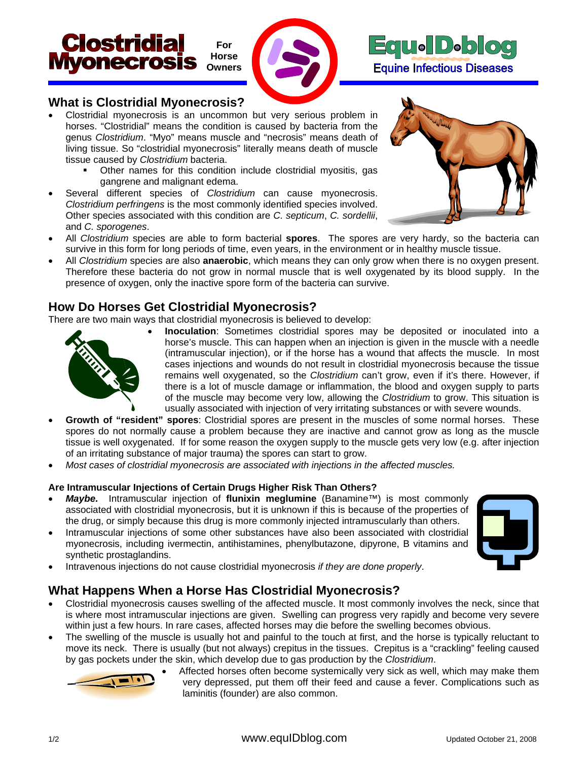





### **What is Clostridial Myonecrosis?**

- Clostridial myonecrosis is an uncommon but very serious problem in horses. "Clostridial" means the condition is caused by bacteria from the genus *Clostridium*. "Myo" means muscle and "necrosis" means death of living tissue. So "clostridial myonecrosis" literally means death of muscle tissue caused by *Clostridium* bacteria.
	- Other names for this condition include clostridial myositis, gas gangrene and malignant edema.
- Several different species of *Clostridium* can cause myonecrosis. *Clostridium perfringens* is the most commonly identified species involved. Other species associated with this condition are *C. septicum*, *C. sordellii*, and *C. sporogenes*.



- All *Clostridium* species are able to form bacterial **spores**. The spores are very hardy, so the bacteria can survive in this form for long periods of time, even years, in the environment or in healthy muscle tissue.
- All *Clostridium* species are also **anaerobic**, which means they can only grow when there is no oxygen present. Therefore these bacteria do not grow in normal muscle that is well oxygenated by its blood supply. In the presence of oxygen, only the inactive spore form of the bacteria can survive.

### **How Do Horses Get Clostridial Myonecrosis?**

There are two main ways that clostridial myonecrosis is believed to develop:



- **Inoculation**: Sometimes clostridial spores may be deposited or inoculated into a horse's muscle. This can happen when an injection is given in the muscle with a needle (intramuscular injection), or if the horse has a wound that affects the muscle. In most cases injections and wounds do not result in clostridial myonecrosis because the tissue remains well oxygenated, so the *Clostridium* can't grow, even if it's there. However, if there is a lot of muscle damage or inflammation, the blood and oxygen supply to parts of the muscle may become very low, allowing the *Clostridium* to grow. This situation is usually associated with injection of very irritating substances or with severe wounds.
- **Growth of "resident" spores**: Clostridial spores are present in the muscles of some normal horses. These spores do not normally cause a problem because they are inactive and cannot grow as long as the muscle tissue is well oxygenated. If for some reason the oxygen supply to the muscle gets very low (e.g. after injection of an irritating substance of major trauma) the spores can start to grow.
- *Most cases of clostridial myonecrosis are associated with injections in the affected muscles.*

### **Are Intramuscular Injections of Certain Drugs Higher Risk Than Others?**

- *Maybe.* Intramuscular injection of **flunixin meglumine** (Banamine™) is most commonly associated with clostridial myonecrosis, but it is unknown if this is because of the properties of the drug, or simply because this drug is more commonly injected intramuscularly than others.
- Intramuscular injections of some other substances have also been associated with clostridial myonecrosis, including ivermectin, antihistamines, phenylbutazone, dipyrone, B vitamins and synthetic prostaglandins.
- 
- Intravenous injections do not cause clostridial myonecrosis *if they are done properly*.

## **What Happens When a Horse Has Clostridial Myonecrosis?**

- Clostridial myonecrosis causes swelling of the affected muscle. It most commonly involves the neck, since that is where most intramuscular injections are given. Swelling can progress very rapidly and become very severe within just a few hours. In rare cases, affected horses may die before the swelling becomes obvious.
- The swelling of the muscle is usually hot and painful to the touch at first, and the horse is typically reluctant to move its neck. There is usually (but not always) crepitus in the tissues. Crepitus is a "crackling" feeling caused by gas pockets under the skin, which develop due to gas production by the *Clostridium*.



• Affected horses often become systemically very sick as well, which may make them very depressed, put them off their feed and cause a fever. Complications such as laminitis (founder) are also common.